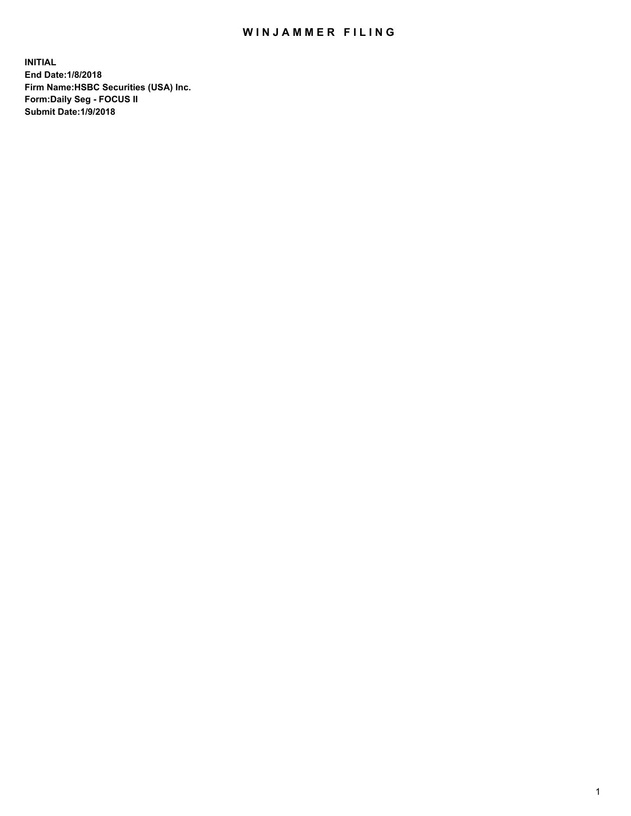## WIN JAMMER FILING

**INITIAL End Date:1/8/2018 Firm Name:HSBC Securities (USA) Inc. Form:Daily Seg - FOCUS II Submit Date:1/9/2018**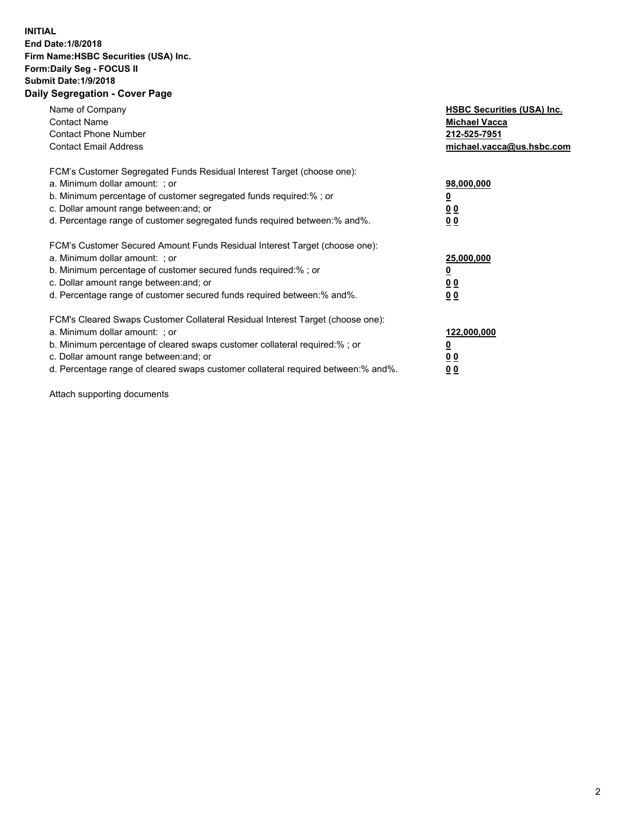## **INITIAL End Date:1/8/2018 Firm Name:HSBC Securities (USA) Inc. Form:Daily Seg - FOCUS II Submit Date:1/9/2018 Daily Segregation - Cover Page**

| Name of Company<br><b>Contact Name</b><br><b>Contact Phone Number</b><br><b>Contact Email Address</b>                                                                                                                                                                                                                         | <b>HSBC Securities (USA) Inc.</b><br><b>Michael Vacca</b><br>212-525-7951<br>michael.vacca@us.hsbc.com |
|-------------------------------------------------------------------------------------------------------------------------------------------------------------------------------------------------------------------------------------------------------------------------------------------------------------------------------|--------------------------------------------------------------------------------------------------------|
| FCM's Customer Segregated Funds Residual Interest Target (choose one):<br>a. Minimum dollar amount: ; or<br>b. Minimum percentage of customer segregated funds required:%; or<br>c. Dollar amount range between: and; or<br>d. Percentage range of customer segregated funds required between: % and %.                       | 98,000,000<br><u>0</u><br>00<br>00                                                                     |
| FCM's Customer Secured Amount Funds Residual Interest Target (choose one):<br>a. Minimum dollar amount: ; or<br>b. Minimum percentage of customer secured funds required:%; or<br>c. Dollar amount range between: and; or<br>d. Percentage range of customer secured funds required between:% and%.                           | 25,000,000<br><u>00</u><br>0 <sub>0</sub>                                                              |
| FCM's Cleared Swaps Customer Collateral Residual Interest Target (choose one):<br>a. Minimum dollar amount: ; or<br>b. Minimum percentage of cleared swaps customer collateral required:%; or<br>c. Dollar amount range between: and; or<br>d. Percentage range of cleared swaps customer collateral required between:% and%. | 122,000,000<br><u>0</u><br><u>00</u><br><u>00</u>                                                      |

Attach supporting documents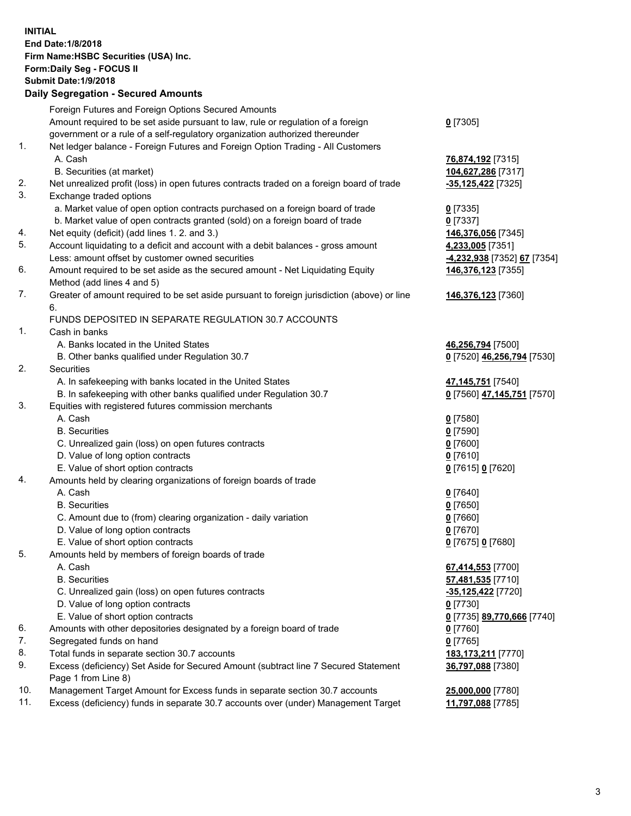**INITIAL End Date:1/8/2018 Firm Name:HSBC Securities (USA) Inc. Form:Daily Seg - FOCUS II Submit Date:1/9/2018 Daily Segregation - Secured Amounts** Foreign Futures and Foreign Options Secured Amounts Amount required to be set aside pursuant to law, rule or regulation of a foreign government or a rule of a self-regulatory organization authorized thereunder **0** [7305] 1. Net ledger balance - Foreign Futures and Foreign Option Trading - All Customers A. Cash **76,874,192** [7315] B. Securities (at market) **104,627,286** [7317] 2. Net unrealized profit (loss) in open futures contracts traded on a foreign board of trade **-35,125,422** [7325] 3. Exchange traded options a. Market value of open option contracts purchased on a foreign board of trade **0** [7335] b. Market value of open contracts granted (sold) on a foreign board of trade **0** [7337] 4. Net equity (deficit) (add lines 1. 2. and 3.) **146,376,056** [7345] 5. Account liquidating to a deficit and account with a debit balances - gross amount **4,233,005** [7351] Less: amount offset by customer owned securities **-4,232,938** [7352] **67** [7354] 6. Amount required to be set aside as the secured amount - Net Liquidating Equity Method (add lines 4 and 5) **146,376,123** [7355] 7. Greater of amount required to be set aside pursuant to foreign jurisdiction (above) or line 6. **146,376,123** [7360] FUNDS DEPOSITED IN SEPARATE REGULATION 30.7 ACCOUNTS 1. Cash in banks A. Banks located in the United States **46,256,794** [7500] B. Other banks qualified under Regulation 30.7 **0** [7520] **46,256,794** [7530] 2. Securities A. In safekeeping with banks located in the United States **47,145,751** [7540] B. In safekeeping with other banks qualified under Regulation 30.7 **0** [7560] **47,145,751** [7570] 3. Equities with registered futures commission merchants A. Cash **0** [7580] B. Securities **0** [7590] C. Unrealized gain (loss) on open futures contracts **0** [7600] D. Value of long option contracts **0** [7610] E. Value of short option contracts **0** [7615] **0** [7620] 4. Amounts held by clearing organizations of foreign boards of trade A. Cash **0** [7640] B. Securities **0** [7650] C. Amount due to (from) clearing organization - daily variation **0** [7660] D. Value of long option contracts **0** [7670] E. Value of short option contracts **0** [7675] **0** [7680] 5. Amounts held by members of foreign boards of trade A. Cash **67,414,553** [7700] B. Securities **57,481,535** [7710] C. Unrealized gain (loss) on open futures contracts **-35,125,422** [7720] D. Value of long option contracts **0** [7730] E. Value of short option contracts **0** [7735] **89,770,666** [7740] 6. Amounts with other depositories designated by a foreign board of trade **0** [7760] 7. Segregated funds on hand **0** [7765] 8. Total funds in separate section 30.7 accounts **183,173,211** [7770] 9. Excess (deficiency) Set Aside for Secured Amount (subtract line 7 Secured Statement Page 1 from Line 8) **36,797,088** [7380] 10. Management Target Amount for Excess funds in separate section 30.7 accounts **25,000,000** [7780] 11. Excess (deficiency) funds in separate 30.7 accounts over (under) Management Target **11,797,088** [7785]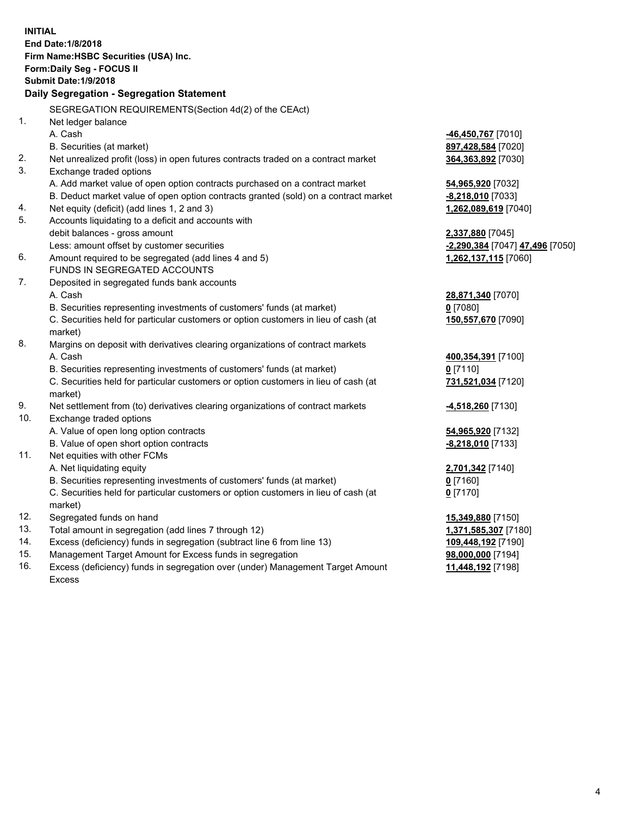| <b>INITIAL</b>                            |                                                                                     |                                 |  |  |  |  |
|-------------------------------------------|-------------------------------------------------------------------------------------|---------------------------------|--|--|--|--|
| End Date: 1/8/2018                        |                                                                                     |                                 |  |  |  |  |
| Firm Name: HSBC Securities (USA) Inc.     |                                                                                     |                                 |  |  |  |  |
| Form: Daily Seg - FOCUS II                |                                                                                     |                                 |  |  |  |  |
|                                           | <b>Submit Date: 1/9/2018</b>                                                        |                                 |  |  |  |  |
| Daily Segregation - Segregation Statement |                                                                                     |                                 |  |  |  |  |
|                                           | SEGREGATION REQUIREMENTS(Section 4d(2) of the CEAct)                                |                                 |  |  |  |  |
| 1.                                        | Net ledger balance                                                                  |                                 |  |  |  |  |
|                                           | A. Cash                                                                             | 46,450,767 [7010]               |  |  |  |  |
|                                           | B. Securities (at market)                                                           | 897,428,584 [7020]              |  |  |  |  |
| 2.                                        | Net unrealized profit (loss) in open futures contracts traded on a contract market  | 364,363,892 [7030]              |  |  |  |  |
| 3.                                        | Exchange traded options                                                             |                                 |  |  |  |  |
|                                           | A. Add market value of open option contracts purchased on a contract market         | 54,965,920 [7032]               |  |  |  |  |
|                                           | B. Deduct market value of open option contracts granted (sold) on a contract market | -8,218,010 [7033]               |  |  |  |  |
| 4.                                        | Net equity (deficit) (add lines 1, 2 and 3)                                         | 1,262,089,619 [7040]            |  |  |  |  |
| 5.                                        | Accounts liquidating to a deficit and accounts with                                 |                                 |  |  |  |  |
|                                           | debit balances - gross amount                                                       | 2,337,880 [7045]                |  |  |  |  |
|                                           | Less: amount offset by customer securities                                          | -2,290,384 [7047] 47,496 [7050] |  |  |  |  |
| 6.                                        | Amount required to be segregated (add lines 4 and 5)                                | 1,262,137,115 [7060]            |  |  |  |  |
| 7.                                        | FUNDS IN SEGREGATED ACCOUNTS                                                        |                                 |  |  |  |  |
|                                           | Deposited in segregated funds bank accounts<br>A. Cash                              |                                 |  |  |  |  |
|                                           | B. Securities representing investments of customers' funds (at market)              | 28,871,340 [7070]<br>$0$ [7080] |  |  |  |  |
|                                           | C. Securities held for particular customers or option customers in lieu of cash (at | 150,557,670 [7090]              |  |  |  |  |
|                                           | market)                                                                             |                                 |  |  |  |  |
| 8.                                        | Margins on deposit with derivatives clearing organizations of contract markets      |                                 |  |  |  |  |
|                                           | A. Cash                                                                             | 400,354,391 [7100]              |  |  |  |  |
|                                           | B. Securities representing investments of customers' funds (at market)              | $0$ [7110]                      |  |  |  |  |
|                                           | C. Securities held for particular customers or option customers in lieu of cash (at | 731,521,034 [7120]              |  |  |  |  |
|                                           | market)                                                                             |                                 |  |  |  |  |
| 9.                                        | Net settlement from (to) derivatives clearing organizations of contract markets     | <u>-4,518,260</u> [7130]        |  |  |  |  |
| 10.                                       | Exchange traded options                                                             |                                 |  |  |  |  |
|                                           | A. Value of open long option contracts                                              | 54,965,920 [7132]               |  |  |  |  |
|                                           | B. Value of open short option contracts                                             | $-8,218,010$ [7133]             |  |  |  |  |
| 11.                                       | Net equities with other FCMs                                                        |                                 |  |  |  |  |
|                                           | A. Net liquidating equity                                                           | 2,701,342 [7140]                |  |  |  |  |
|                                           | B. Securities representing investments of customers' funds (at market)              | <u>0</u> [7160]                 |  |  |  |  |
|                                           | C. Securities held for particular customers or option customers in lieu of cash (at | $0$ [7170]                      |  |  |  |  |
|                                           | market)                                                                             |                                 |  |  |  |  |
| 12.                                       | Segregated funds on hand                                                            | 15,349,880 [7150]               |  |  |  |  |
| 13.                                       | Total amount in segregation (add lines 7 through 12)                                | 1,371,585,307 [7180]            |  |  |  |  |
| 14.                                       | Excess (deficiency) funds in segregation (subtract line 6 from line 13)             | 109,448,192 [7190]              |  |  |  |  |
| 15.                                       | Management Target Amount for Excess funds in segregation                            | 98,000,000 [7194]               |  |  |  |  |

16. Excess (deficiency) funds in segregation over (under) Management Target Amount Excess

**11,448,192** [7198]